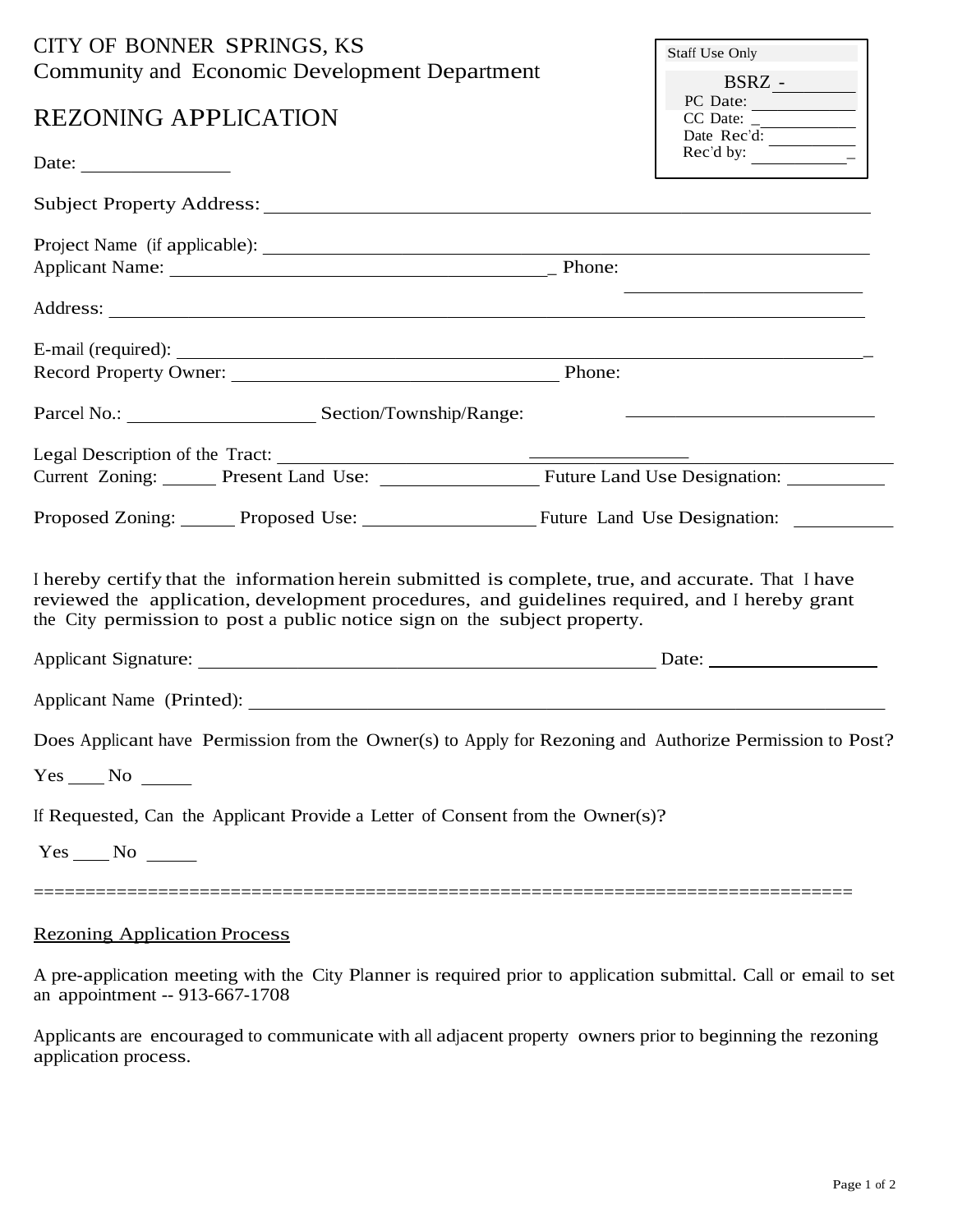| CITY OF BONNER SPRINGS, KS<br>Community and Economic Development Department                                                                                                                                                                                                       | Staff Use Only                                                                                                                                                                              |
|-----------------------------------------------------------------------------------------------------------------------------------------------------------------------------------------------------------------------------------------------------------------------------------|---------------------------------------------------------------------------------------------------------------------------------------------------------------------------------------------|
| <b>REZONING APPLICATION</b>                                                                                                                                                                                                                                                       | PC Date:<br>$\text{CC Date: } \frac{\overline{\text{CC Date: } \frac{\overline{\text{C}}}{\overline{\text{Date: } \text{Rec}'}}}}{\sqrt{\frac{\overline{\text{C}}}{\overline{\text{C}}}}}}$ |
|                                                                                                                                                                                                                                                                                   |                                                                                                                                                                                             |
|                                                                                                                                                                                                                                                                                   |                                                                                                                                                                                             |
|                                                                                                                                                                                                                                                                                   |                                                                                                                                                                                             |
|                                                                                                                                                                                                                                                                                   |                                                                                                                                                                                             |
|                                                                                                                                                                                                                                                                                   |                                                                                                                                                                                             |
| E-mail (required): $\frac{1}{2}$                                                                                                                                                                                                                                                  |                                                                                                                                                                                             |
|                                                                                                                                                                                                                                                                                   |                                                                                                                                                                                             |
|                                                                                                                                                                                                                                                                                   | <u> 1989 - Johann Harry Harry Harry Harry Harry Harry Harry Harry Harry Harry Harry Harry Harry Harry Harry Harry</u>                                                                       |
|                                                                                                                                                                                                                                                                                   |                                                                                                                                                                                             |
|                                                                                                                                                                                                                                                                                   |                                                                                                                                                                                             |
| Proposed Zoning: Proposed Use: Future Land Use Designation:                                                                                                                                                                                                                       |                                                                                                                                                                                             |
| I hereby certify that the information herein submitted is complete, true, and accurate. That I have<br>reviewed the application, development procedures, and guidelines required, and I hereby grant<br>the City permission to post a public notice sign on the subject property. |                                                                                                                                                                                             |
|                                                                                                                                                                                                                                                                                   |                                                                                                                                                                                             |
|                                                                                                                                                                                                                                                                                   |                                                                                                                                                                                             |
| Does Applicant have Permission from the Owner(s) to Apply for Rezoning and Authorize Permission to Post?                                                                                                                                                                          |                                                                                                                                                                                             |
| $Yes \_\_No \_\_$                                                                                                                                                                                                                                                                 |                                                                                                                                                                                             |
| If Requested, Can the Applicant Provide a Letter of Consent from the Owner(s)?                                                                                                                                                                                                    |                                                                                                                                                                                             |
| $Yes \_\_No \_\_$                                                                                                                                                                                                                                                                 |                                                                                                                                                                                             |
| <b>Rezoning Application Process</b>                                                                                                                                                                                                                                               |                                                                                                                                                                                             |

A pre-application meeting with the City Planner is required prior to application submittal. Call or email to set an appointment -- 913-667-1708

Applicants are encouraged to communicate with all adjacent property owners prior to beginning the rezoning application process.